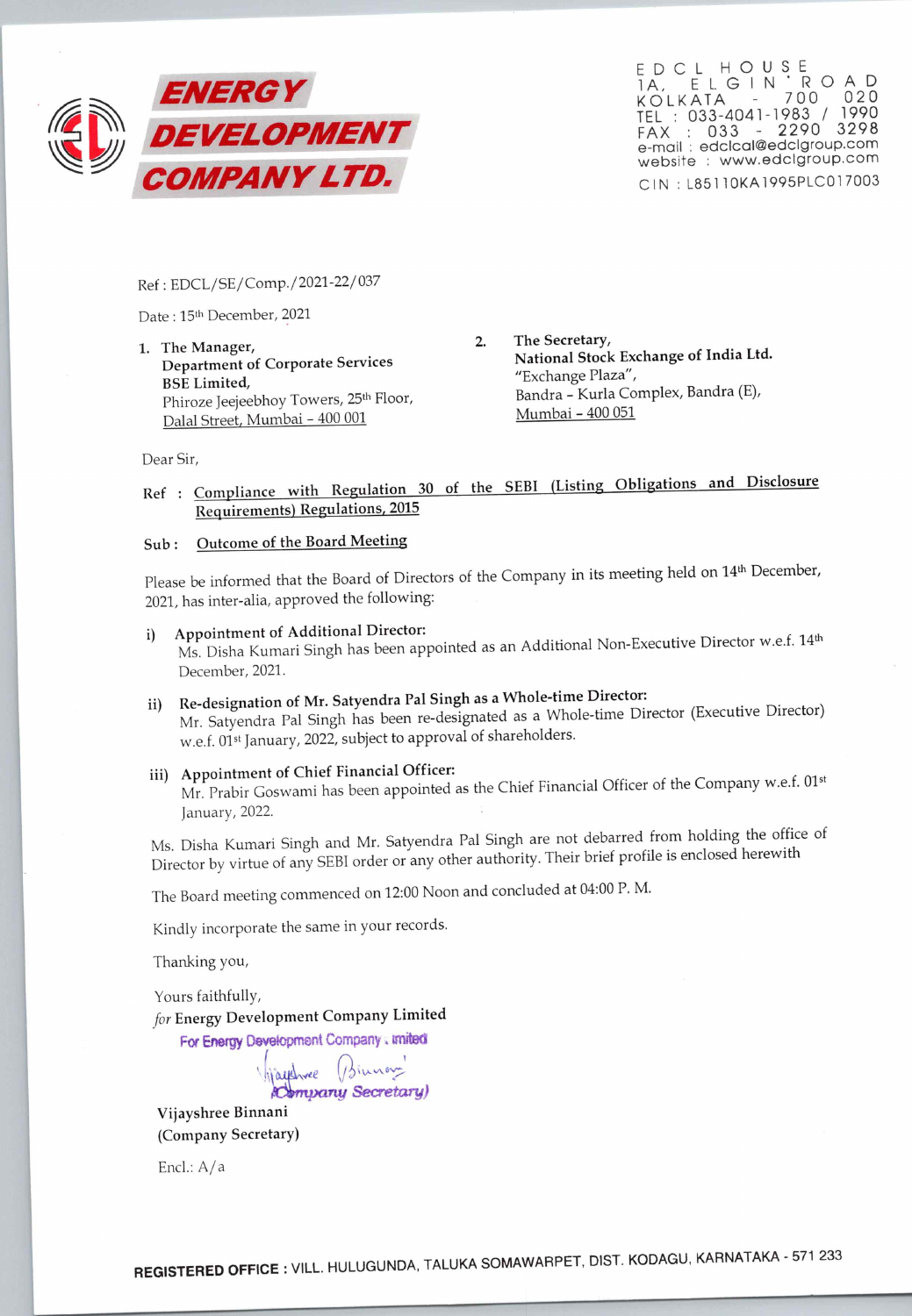

EDCL HOUSE IA, ELGIN ROAD KOLKATA - 700 020 TEL : 033-4041-1983 / 1990 FAX 033 - 2290 3298 e-mail .: edclcal@edclgroup.com website : www.edclgroup.com CIN : L85110KA1995PLC017003

Ref : EDCL/SE/Comp./2021-22/037

Date : 15th December, 2021

1. The Manager, Department of Corporate Services BSE Limited, Phiroze Jeejeebhoy Towers, 25<sup>th</sup> Floor, Dalal Street, Mumbai - 400 001

2. The Secretary, National Stock Exchange of India Ltd. "Exchange Plaza", Bandra - Kurla Complex, Bandra (E), Mumbai - 400 051

## Dear Sir,<br>Ref : <u>Compliance with Regulation 30 of the SEBI (Listing Obligations and Disclosure Requirements) Regulations, 2015</u><br>Sub : Outcome of the Board Meeting

## Outcome of the Board Meeting

Please be informed that the Board of Directors of the Company in its meeting held on 14<sup>th</sup> December, 2021, has inter-alia, approved the following:

- i) Appointment of Additional Director: Ms. Disha Kumari Singh has been appointed as an Additional Non-Executive Director w.e.f. 14th December, 2021.
- ii) Re-designation of Mr. Satyendra Pal Singh as a Whole-time Director: Mr. Satyendra Pal Singh has been re-designated as a Whole-time Director (Executive Director) w.e.f. 01st January, 2022, subject to approval of shareholders.

## iii) Appointment of chief Financial officer:

Mr. Prabir Goswami has been appointed as the Chief Financial Officer of the Company w.e.f. 01st January, 2022.

Ms. Disha Kumari Singh and Mr. Satyendra Pal Singh are not debarred from holding the office of Director by virtue of any SEBI order or any other authority. Their brief profile is enclosed herewith

The Board meeting commenced on 12:00 Noon and concluded at 04:00 P.M.

Kindly incorporate the same in your records.

Thanking you,

Yours faithfully,<br>for Energy Development Company Limited

For Energy Development Company : imited

Maythree (Biuner) Vijayshree Binnani (Company Secretary)

Encl.: A/a